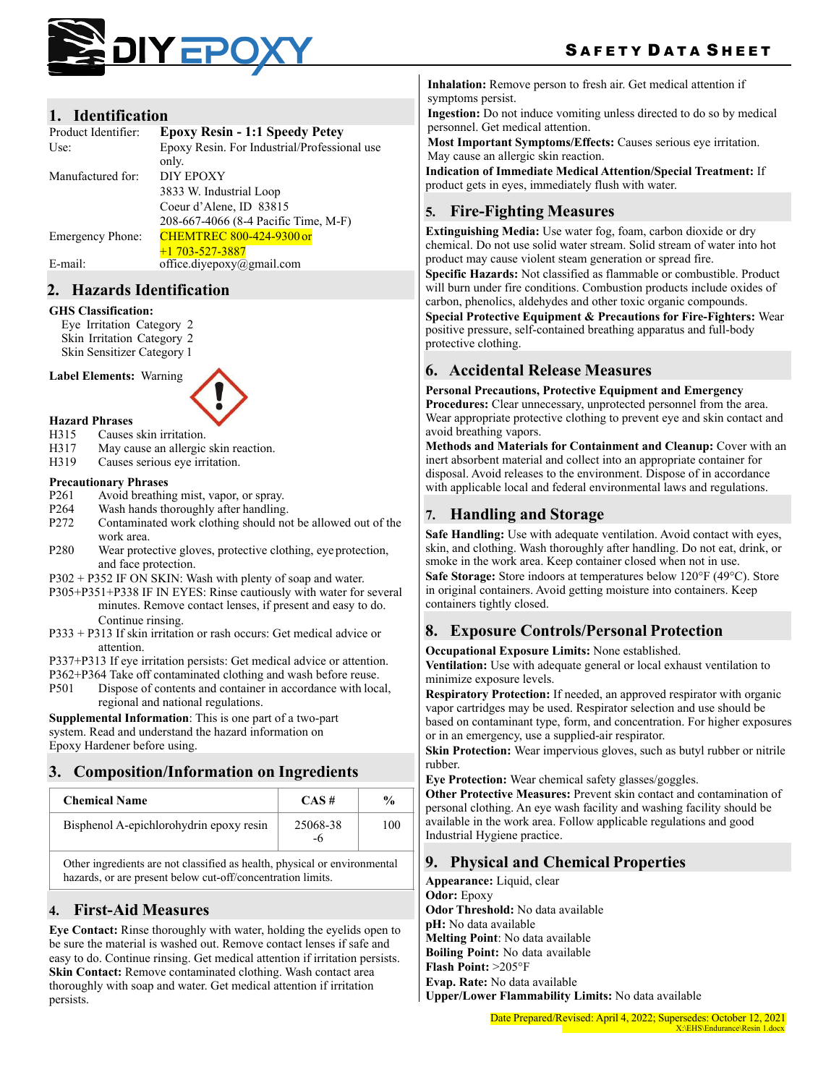

### **1. Identification**

| Product Identifier: | <b>Epoxy Resin - 1:1 Speedy Petey</b>        |
|---------------------|----------------------------------------------|
| Use:                | Epoxy Resin. For Industrial/Professional use |
|                     | only.                                        |
| Manufactured for:   | <b>DIY EPOXY</b>                             |
|                     | 3833 W. Industrial Loop                      |
|                     | Coeur d'Alene, ID 83815                      |
|                     | 208-667-4066 (8-4 Pacific Time, M-F)         |
| Emergency Phone:    | <b>CHEMTREC 800-424-9300 or</b>              |
|                     | $+1703 - 527 - 3887$                         |
| E-mail:             | office.divepoxy@gmail.com                    |

### **2. Hazards Identification**

#### **GHS Classification:**

Eye Irritation Category 2 Skin Irritation Category 2 Skin Sensitizer Category 1

**Label Elements:** Warning



- **Hazard Phrases**
- H315 Causes skin irritation.
- H317 May cause an allergic skin reaction.
- H319 Causes serious eye irritation.

### **Precautionary Phrases**

- P261 Avoid breathing mist, vapor, or spray.
- P264 Wash hands thoroughly after handling.
- P272 Contaminated work clothing should not be allowed out of the work area.
- P280 Wear protective gloves, protective clothing, eye protection, and face protection.
- P302 + P352 IF ON SKIN: Wash with plenty of soap and water.
- P305+P351+P338 IF IN EYES: Rinse cautiously with water for several minutes. Remove contact lenses, if present and easy to do. Continue rinsing.
- P333 + P313 If skin irritation or rash occurs: Get medical advice or attention.

P337+P313 If eye irritation persists: Get medical advice or attention.

- P362+P364 Take off contaminated clothing and wash before reuse.
- P501 Dispose of contents and container in accordance with local, regional and national regulations.

**Supplemental Information**: This is one part of a two-part system. Read and understand the hazard information on Epoxy Hardener before using.

# **3. Composition/Information on Ingredients**

| <b>Chemical Name</b>                                                      | $CAS \#$ | $\frac{0}{0}$ |
|---------------------------------------------------------------------------|----------|---------------|
| Bisphenol A-epichlorohydrin epoxy resin                                   | 25068-38 | 100           |
| Other ingredients are not classified as health, physical or environmental |          |               |

hazards, or are present below cut-off/concentration limits.

# **4. First-Aid Measures**

**Eye Contact:** Rinse thoroughly with water, holding the eyelids open to be sure the material is washed out. Remove contact lenses if safe and easy to do. Continue rinsing. Get medical attention if irritation persists. **Skin Contact:** Remove contaminated clothing. Wash contact area thoroughly with soap and water. Get medical attention if irritation persists.

**Inhalation:** Remove person to fresh air. Get medical attention if symptoms persist.

**Ingestion:** Do not induce vomiting unless directed to do so by medical personnel. Get medical attention.

**Most Important Symptoms/Effects:** Causes serious eye irritation. May cause an allergic skin reaction.

**Indication of Immediate Medical Attention/Special Treatment:** If product gets in eyes, immediately flush with water.

# **5. Fire-Fighting Measures**

**Extinguishing Media:** Use water fog, foam, carbon dioxide or dry chemical. Do not use solid water stream. Solid stream of water into hot product may cause violent steam generation or spread fire.

**Specific Hazards:** Not classified as flammable or combustible. Product will burn under fire conditions. Combustion products include oxides of carbon, phenolics, aldehydes and other toxic organic compounds.

**Special Protective Equipment & Precautions for Fire-Fighters:** Wear positive pressure, self-contained breathing apparatus and full-body protective clothing.

# **6. Accidental Release Measures**

**Personal Precautions, Protective Equipment and Emergency Procedures:** Clear unnecessary, unprotected personnel from the area. Wear appropriate protective clothing to prevent eye and skin contact and avoid breathing vapors.

**Methods and Materials for Containment and Cleanup:** Cover with an inert absorbent material and collect into an appropriate container for disposal. Avoid releases to the environment. Dispose of in accordance with applicable local and federal environmental laws and regulations.

# **7. Handling and Storage**

**Safe Handling:** Use with adequate ventilation. Avoid contact with eyes, skin, and clothing. Wash thoroughly after handling. Do not eat, drink, or smoke in the work area. Keep container closed when not in use. **Safe Storage:** Store indoors at temperatures below 120°F (49°C). Store in original containers. Avoid getting moisture into containers. Keep containers tightly closed.

# **8. Exposure Controls/Personal Protection**

**Occupational Exposure Limits:** None established.

**Ventilation:** Use with adequate general or local exhaust ventilation to minimize exposure levels.

**Respiratory Protection:** If needed, an approved respirator with organic vapor cartridges may be used. Respirator selection and use should be based on contaminant type, form, and concentration. For higher exposures or in an emergency, use a supplied-air respirator.

**Skin Protection:** Wear impervious gloves, such as butyl rubber or nitrile rubber.

**Eye Protection:** Wear chemical safety glasses/goggles.

**Other Protective Measures:** Prevent skin contact and contamination of personal clothing. An eye wash facility and washing facility should be available in the work area. Follow applicable regulations and good Industrial Hygiene practice.

# **9. Physical and Chemical Properties**

**Appearance:** Liquid, clear **Odor:** Epoxy **Odor Threshold:** No data available **pH:** No data available **Melting Point**: No data available **Boiling Point:** No data available **Flash Point:** >205°F **Evap. Rate:** No data available **Upper/Lower Flammability Limits:** No data available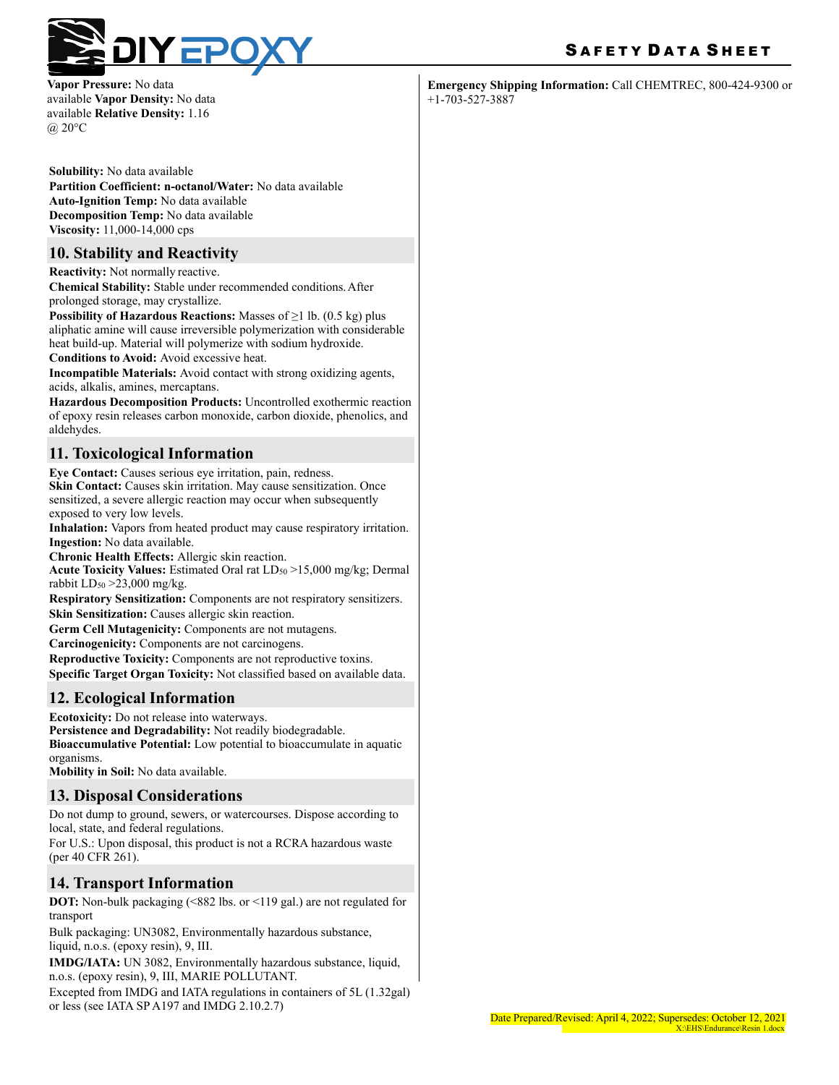

**Vapor Pressure:** No data available **Vapor Density:** No data available **Relative Density:** 1.16 @ 20°C

**Solubility:** No data available **Partition Coefficient: n-octanol/Water:** No data available **Auto-Ignition Temp:** No data available **Decomposition Temp:** No data available **Viscosity:** 11,000-14,000 cps

## **10. Stability and Reactivity**

**Reactivity:** Not normally reactive.

**Chemical Stability:** Stable under recommended conditions.After prolonged storage, may crystallize.

**Possibility of Hazardous Reactions:** Masses of ≥1 lb. (0.5 kg) plus aliphatic amine will cause irreversible polymerization with considerable heat build-up. Material will polymerize with sodium hydroxide.

**Conditions to Avoid:** Avoid excessive heat.

**Incompatible Materials:** Avoid contact with strong oxidizing agents, acids, alkalis, amines, mercaptans.

**Hazardous Decomposition Products:** Uncontrolled exothermic reaction of epoxy resin releases carbon monoxide, carbon dioxide, phenolics, and aldehydes.

## **11. Toxicological Information**

**Eye Contact:** Causes serious eye irritation, pain, redness. **Skin Contact:** Causes skin irritation. May cause sensitization. Once sensitized, a severe allergic reaction may occur when subsequently exposed to very low levels.

**Inhalation:** Vapors from heated product may cause respiratory irritation. **Ingestion:** No data available.

**Chronic Health Effects:** Allergic skin reaction.

**Acute Toxicity Values:** Estimated Oral rat LD50 >15,000 mg/kg; Dermal rabbit  $LD_{50} > 23,000$  mg/kg.

**Respiratory Sensitization:** Components are not respiratory sensitizers. **Skin Sensitization:** Causes allergic skin reaction.

**Germ Cell Mutagenicity:** Components are not mutagens.

**Carcinogenicity:** Components are not carcinogens.

**Reproductive Toxicity:** Components are not reproductive toxins. **Specific Target Organ Toxicity:** Not classified based on available data.

## **12. Ecological Information**

**Ecotoxicity:** Do not release into waterways. **Persistence and Degradability:** Not readily biodegradable. **Bioaccumulative Potential:** Low potential to bioaccumulate in aquatic organisms.

**Mobility in Soil:** No data available.

## **13. Disposal Considerations**

Do not dump to ground, sewers, or watercourses. Dispose according to local, state, and federal regulations.

For U.S.: Upon disposal, this product is not a RCRA hazardous waste (per 40 CFR 261).

## **14. Transport Information**

**DOT:** Non-bulk packaging (<882 lbs. or <119 gal.) are not regulated for transport

Bulk packaging: UN3082, Environmentally hazardous substance, liquid, n.o.s. (epoxy resin), 9, III.

**IMDG/IATA:** UN 3082, Environmentally hazardous substance, liquid, n.o.s. (epoxy resin), 9, III, MARIE POLLUTANT.

Excepted from IMDG and IATA regulations in containers of 5L (1.32gal) or less (see IATA SP A197 and IMDG 2.10.2.7)

# SAFETY DATA SHEET

**Emergency Shipping Information:** Call CHEMTREC, 800-424-9300 or +1-703-527-3887